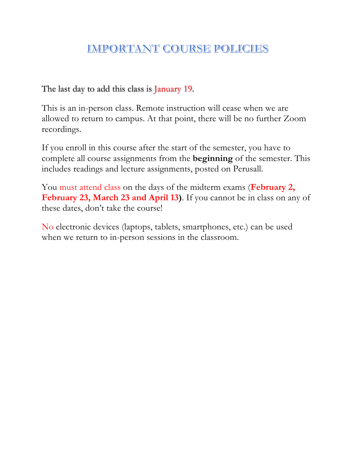# **IMPORTANT COURSE POLICIES**

The last day to add this class is January 19.

This is an in-person class. Remote instruction will cease when we are allowed to return to campus. At that point, there will be no further Zoom recordings.

If you enroll in this course after the start of the semester, you have to complete all course assignments from the **beginning** of the semester. This includes readings and lecture assignments, posted on Perusall.

You must attend class on the days of the midterm exams (**February 2, February 23, March 23 and April 13)**. If you cannot be in class on any of these dates, don't take the course!

No electronic devices (laptops, tablets, smartphones, etc.) can be used when we return to in-person sessions in the classroom.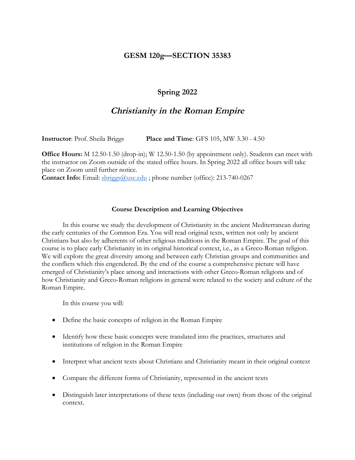# **GESM 120g—SECTION 35383**

# **Spring 2022**

# **Christianity in the Roman Empire**

**Instructor**: Prof. Sheila Briggs **Place and Time**: GFS 105, MW 3.30 - 4.50

**Office Hours:** M 12.50-1.50 (drop-in); W 12.50-1.50 (by appointment only). Students can meet with the instructor on Zoom outside of the stated office hours. In Spring 2022 all office hours will take place on Zoom until further notice.

**Contact Info:** Email: **sbriggs@usc.edu**; phone number (office): 213-740-0267

#### **Course Description and Learning Objectives**

In this course we study the development of Christianity in the ancient Mediterranean during the early centuries of the Common Era. You will read original texts, written not only by ancient Christians but also by adherents of other religious traditions in the Roman Empire. The goal of this course is to place early Christianity in its original historical context, i.e., as a Greco-Roman religion. We will explore the great diversity among and between early Christian groups and communities and the conflicts which this engendered. By the end of the course a comprehensive picture will have emerged of Christianity's place among and interactions with other Greco-Roman religions and of how Christianity and Greco-Roman religions in general were related to the society and culture of the Roman Empire.

In this course you will:

- Define the basic concepts of religion in the Roman Empire
- Identify how these basic concepts were translated into the practices, structures and institutions of religion in the Roman Empire
- Interpret what ancient texts about Christians and Christianity meant in their original context
- Compare the different forms of Christianity, represented in the ancient texts
- Distinguish later interpretations of these texts (including our own) from those of the original context.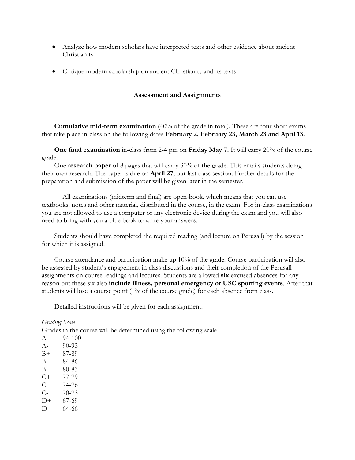- Analyze how modern scholars have interpreted texts and other evidence about ancient Christianity
- Critique modern scholarship on ancient Christianity and its texts

#### **Assessment and Assignments**

**Cumulative mid-term examination** (40% of the grade in total)**.** These are four short exams that take place in-class on the following dates **February 2, February 23, March 23 and April 13.**

**One final examination** in-class from 2-4 pm on **Friday May 7.** It will carry 20% of the course grade.

One **research paper** of 8 pages that will carry 30% of the grade. This entails students doing their own research. The paper is due on **April 27**, our last class session. Further details for the preparation and submission of the paper will be given later in the semester.

All examinations (midterm and final) are open-book, which means that you can use textbooks, notes and other material, distributed in the course, in the exam. For in-class examinations you are not allowed to use a computer or any electronic device during the exam and you will also need to bring with you a blue book to write your answers.

Students should have completed the required reading (and lecture on Perusall) by the session for which it is assigned.

Course attendance and participation make up 10% of the grade. Course participation will also be assessed by student's engagement in class discussions and their completion of the Perusall assignments on course readings and lectures. Students are allowed **six** excused absences for any reason but these six also **include illness, personal emergency or USC sporting events**. After that students will lose a course point (1% of the course grade) for each absence from class.

Detailed instructions will be given for each assignment.

*Grading Scale* 

Grades in the course will be determined using the following scale

A 94-100 A- 90-93 B+ 87-89 B 84-86 B- 80-83 C+ 77-79 C 74-76 C- 70-73  $D+ 67-69$ D 64-66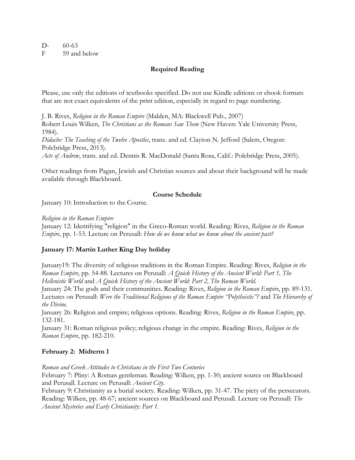#### $D-60-63$ F 59 and below

### **Required Reading**

Please, use only the editions of textbooks specified. Do not use Kindle editions or ebook formats that are not exact equivalents of the print edition, especially in regard to page numbering.

J. B. Rives, *Religion in the Roman Empire* (Malden, MA: Blackwell Pub., 2007) Robert Louis Wilken, *The Christians as the Romans Saw Them* (New Haven: Yale University Press, 1984).

*Didache: The Teaching of the Twelve Apostles*, trans. and ed. Clayton N. Jefford (Salem, Oregon: Polebridge Press, 2013).

*Acts of Andrew*, trans. and ed. Dennis R. MacDonald (Santa Rosa, Calif.: Polebridge Press, 2005).

Other readings from Pagan, Jewish and Christian sources and about their background will be made available through Blackboard.

#### **Course Schedule**

January 10: Introduction to the Course.

#### *Religion in the Roman Empire*

January 12: Identifying "religion" in the Greco-Roman world. Reading: Rives, *Religion in the Roman Empire*, pp. 1-53. Lecture on Perusall: *How do we know what we know about the ancient past?*

#### **January 17: Martin Luther King Day holiday**

January19: The diversity of religious traditions in the Roman Empire. Reading: Rives, *Religion in the Roman Empire*, pp. 54-88. Lectures on Perusall: *A Quick History of the Ancient World: Part 1, The Hellenistic World* and *A Quick History of the Ancient World: Part 2, The Roman World*.

January 24: The gods and their communities. Reading: Rives, *Religion in the Roman Empire*, pp. 89-131. Lectures on Perusall: *Were the Traditional Religions of the Roman Empire "Polytheistic"?* and *The Hierarchy of the Divine*.

January 26: Religion and empire; religious options. Reading: Rives, *Religion in the Roman Empire*, pp. 132-181.

January 31: Roman religious policy; religious change in the empire. Reading: Rives, *Religion in the Roman Empire*, pp. 182-210.

#### **February 2: Midterm 1**

*Roman and Greek Attitudes to Christians in the First Two Centuries*

February 7: Pliny: A Roman gentleman. Reading: Wilken, pp. 1-30; ancient source on Blackboard and Perusall. Lecture on Perusall: *Ancient City*.

February 9: Christianity as a burial society. Reading: Wilken, pp. 31-47. The piety of the persecutors. Reading: Wilken, pp. 48-67; ancient sources on Blackboard and Perusall. Lecture on Perusall: *The Ancient Mysteries and Early Christianity: Part 1*.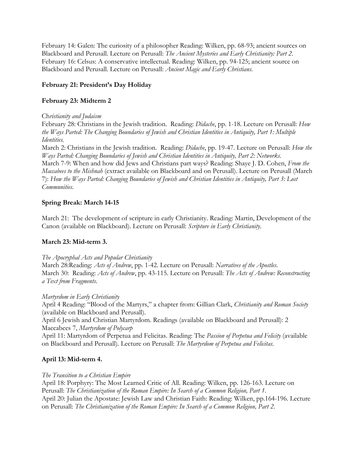February 14: Galen: The curiosity of a philosopher Reading: Wilken, pp. 68-93; ancient sources on Blackboard and Perusall. Lecture on Perusall: *The Ancient Mysteries and Early Christianity: Part 2*. February 16: Celsus: A conservative intellectual. Reading: Wilken, pp. 94-125; ancient source on Blackboard and Perusall. Lecture on Perusall: *Ancient Magic and Early Christians*.

### **February 21: President's Day Holiday**

## **February 23: Midterm 2**

#### Ch*ristianity and Judaism*

February 28: Christians in the Jewish tradition. Reading: *Didache*, pp. 1-18. Lecture on Perusall: *How the Ways Parted: The Changing Boundaries of Jewish and Christian Identities in Antiquity, Part 1: Multiple Identities.*

March 2: Christians in the Jewish tradition. Reading: *Didache*, pp. 19-47. Lecture on Perusall: *How the Ways Parted: Changing Boundaries of Jewish and Christian Identities in Antiquity, Part 2: Networks*. March 7-9: When and how did Jews and Christians part ways? Reading: Shaye J. D. Cohen, *From the Maccabees to the Mishnah* (extract available on Blackboard and on Perusall). Lecture on Perusall (March 7): *How the Ways Parted: Changing Boundaries of Jewish and Christian Identities in Antiquity, Part 3: Lost Communities*.

# **Spring Break: March 14-15**

March 21: The development of scripture in early Christianity. Reading: Martin, Development of the Canon (available on Blackboard). Lecture on Perusall: *Scripture in Early Christianity*.

### **March 23: Mid-term 3.**

### *The Apocryphal Acts and Popular Christianity*

March 28:Reading: *Acts of Andrew*, pp. 1-42. Lecture on Perusall: *Narratives of the Apostles*. March 30: Reading: *Acts of Andrew*, pp. 43-115. Lecture on Perusall: *The Acts of Andrew: Reconstructing a Text from Fragments*.

### *Martyrdom in Early Christianity*

April 4 Reading: "Blood of the Martyrs," a chapter from: Gillian Clark, *Christianity and Roman Society* (available on Blackboard and Perusall).

April 6 Jewish and Christian Martyrdom. Readings (available on Blackboard and Perusall): 2 Maccabees 7, *Martyrdom of Polycarp*

April 11: Martyrdom of Perpetua and Felicitas. Reading: The *Passion of Perpetua and Felicity* (available on Blackboard and Perusall). Lecture on Perusall: *The Martyrdom of Perpetua and Felicitas*.

# **April 13: Mid-term 4.**

### *The Transition to a Christian Empire*

April 18: Porphyry: The Most Learned Critic of All. Reading: Wilken, pp. 126-163. Lecture on Perusall: *The Christianization of the Roman Empire: In Search of a Common Religion, Part 1*. April 20: Julian the Apostate: Jewish Law and Christian Faith: Reading: Wilken, pp.164-196. Lecture on Perusall: *The Christianization of the Roman Empire: In Search of a Common Religion, Part 2*.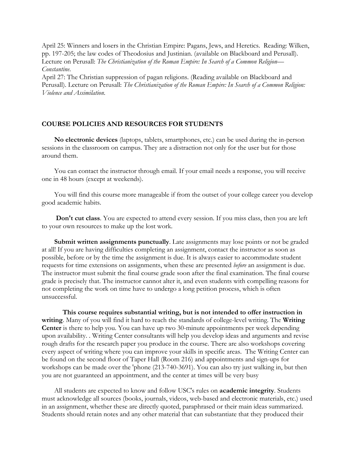April 25: Winners and losers in the Christian Empire: Pagans, Jews, and Heretics. Reading: Wilken, pp. 197-205; the law codes of Theodosius and Justinian. (available on Blackboard and Perusall). Lecture on Perusall: *The Christianization of the Roman Empire: In Search of a Common Religion— Constantine*.

April 27: The Christian suppression of pagan religions. (Reading available on Blackboard and Perusall). Lecture on Perusall: *The Christianization of the Roman Empire: In Search of a Common Religion: Violence and Assimilation*.

#### **COURSE POLICIES AND RESOURCES FOR STUDENTS**

**No electronic devices** (laptops, tablets, smartphones, etc.) can be used during the in-person sessions in the classroom on campus. They are a distraction not only for the user but for those around them.

You can contact the instructor through email. If your email needs a response, you will receive one in 48 hours (except at weekends).

You will find this course more manageable if from the outset of your college career you develop good academic habits.

**Don't cut class**. You are expected to attend every session. If you miss class, then you are left to your own resources to make up the lost work.

**Submit written assignments punctually**. Late assignments may lose points or not be graded at all! If you are having difficulties completing an assignment, contact the instructor as soon as possible, before or by the time the assignment is due. It is always easier to accommodate student requests for time extensions on assignments, when these are presented *before* an assignment is due. The instructor must submit the final course grade soon after the final examination. The final course grade is precisely that. The instructor cannot alter it, and even students with compelling reasons for not completing the work on time have to undergo a long petition process, which is often unsuccessful.

**This course requires substantial writing, but is not intended to offer instruction in writing**. Many of you will find it hard to reach the standards of college-level writing. The **Writing Center** is there to help you. You can have up two 30-minute appointments per week depending upon availability. . Writing Center consultants will help you develop ideas and arguments and revise rough drafts for the research paper you produce in the course. There are also workshops covering every aspect of writing where you can improve your skills in specific areas. The Writing Center can be found on the second floor of Taper Hall (Room 216) and appointments and sign-ups for workshops can be made over the 'phone (213-740-3691). You can also try just walking in, but then you are not guaranteed an appointment, and the center at times will be very busy

All students are expected to know and follow USC's rules on **academic integrity**. Students must acknowledge all sources (books, journals, videos, web-based and electronic materials, etc.) used in an assignment, whether these are directly quoted, paraphrased or their main ideas summarized. Students should retain notes and any other material that can substantiate that they produced their